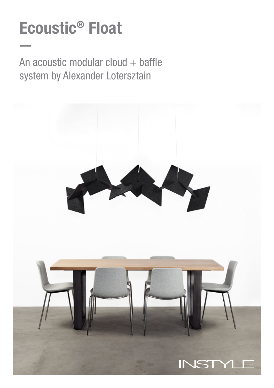# Ecoustic® Float

An acoustic modular cloud + baffle system by Alexander Lotersztain

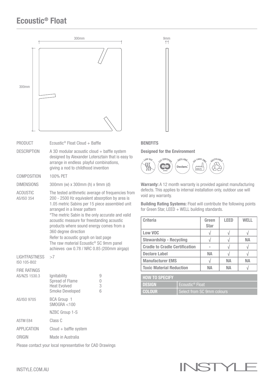### Ecoustic® Float



## Designed for the Environment

9mm



Warranty: A 12 month warranty is provided against manufacturing defects. This applies to internal installation only, outdoor use will void any warranty.

Building Rating Systems: Float will contribute the following points for Green Star, LEED  $+$  WELL building standards.

| <b>Criteria</b>                       | Green<br><b>Star</b> | <b>LEED</b> | WFI I |
|---------------------------------------|----------------------|-------------|-------|
| Low VOC                               | V                    |             |       |
| <b>Stewardship - Recycling</b>        |                      |             | NА    |
| <b>Cradle to Cradle Certification</b> |                      |             |       |
| <b>Declare Label</b>                  | NΑ                   |             |       |
| <b>Manufacturer EMS</b>               |                      | NА          | NА    |
| <b>Toxic Material Reduction</b>       | NΑ                   | NА          |       |

| <b>HOW TO SPECIFY</b> |                             |
|-----------------------|-----------------------------|
| <b>DESIGN</b>         | Ecoustic <sup>®</sup> Float |
| <b>COLOUR</b>         | Select from SC 9mm colours  |

INST

Please contact your local representative for CAD Drawings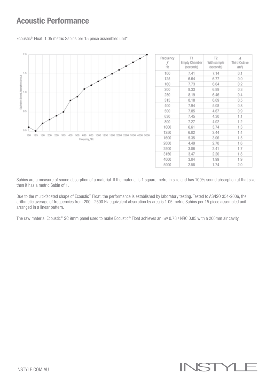#### Acoustic Performance

 $2.0$ 1.5 Equivalent Sound Absorption Area A  $1.0$  $0.5$ o o 100 125 160 200 250 315 400 500 630 800 1000 1250 1600 2000 2500 3150 4000 5000 Frequency / Hz

|  | Frequency<br>Hz | T1<br><b>Empty Chamber</b><br>(seconds) | T <sub>2</sub><br>With sample<br>(seconds) | $\boldsymbol{A}$<br>Third Octave<br>(m <sup>2</sup> ) |
|--|-----------------|-----------------------------------------|--------------------------------------------|-------------------------------------------------------|
|  | 100             | 7.41                                    | 7.14                                       | 0.1                                                   |
|  | 125             | 6.64                                    | 6.77                                       | 0.0                                                   |
|  | 160             | 7.73                                    | 6.64                                       | 0.2                                                   |
|  | 200             | 8.33                                    | 6.89                                       | 0.3                                                   |
|  | 250             | 8.19                                    | 6.46                                       | 0.4                                                   |
|  | 315             | 8.18                                    | 6.09                                       | 0.5                                                   |
|  | 400             | 7.94                                    | 5.08                                       | 0.8                                                   |
|  | 500             | 7.85                                    | 4.67                                       | 0.9                                                   |
|  | 630             | 7.45                                    | 4.30                                       | 1.1                                                   |
|  | 800             | 7.27                                    | 4.02                                       | 1.2                                                   |
|  | 1000            | 6.61                                    | 3.74                                       | 1.3                                                   |
|  | 1250            | 6.02                                    | 3.44                                       | 1.4                                                   |
|  | 1600            | 5.35                                    | 3.06                                       | 1.5                                                   |
|  | 2000            | 4.49                                    | 2.70                                       | 1.6                                                   |
|  | 2500            | 3.86                                    | 2.41                                       | 1.7                                                   |
|  | 3150            | 3.47                                    | 2.20                                       | 1.8                                                   |
|  | 4000            | 3.04                                    | 1.99                                       | 1.9                                                   |
|  | 5000            | 2.58                                    | 174                                        | クハ                                                    |

Ecoustic® Float: 1.05 metric Sabins per 15 piece assembled unit\*

Sabins are a measure of sound absorption of a material. If the material is 1 square metre in size and has 100% sound absorption at that size then it has a metric Sabin of 1.

Due to the multi-faceted shape of Ecoustic® Float, the performance is established by laboratory testing. Tested to AS/ISO 354-2006, the arithmetic average of frequencies from 200 - 2500 Hz equivalent absorption by area is 1.05 metric Sabins per 15 piece assembled unit arranged in a linear pattern.

The raw material Ecoustic® SC 9mm panel used to make Ecoustic® Float achieves an αw 0.78 / NRC 0.85 with a 200mm air cavity.